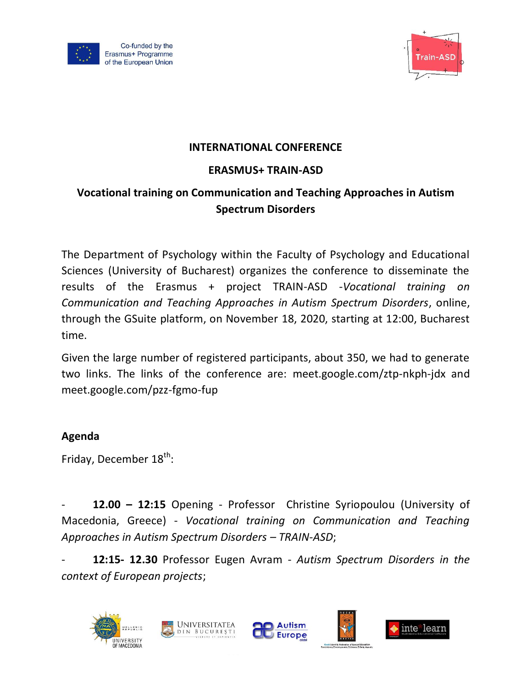



## **INTERNATIONAL CONFERENCE**

## **ERASMUS+ TRAIN-ASD**

## **Vocational training on Communication and Teaching Approaches in Autism Spectrum Disorders**

The Department of Psychology within the Faculty of Psychology and Educational Sciences (University of Bucharest) organizes the conference to disseminate the results of the Erasmus + project TRAIN-ASD -*Vocational training on Communication and Teaching Approaches in Autism Spectrum Disorders*, online, through the GSuite platform, on November 18, 2020, starting at 12:00, Bucharest time.

Given the large number of registered participants, about 350, we had to generate two links. The links of the conference are: meet.google.com/ztp-nkph-jdx and meet.google.com/pzz-fgmo-fup

## **Agenda**

Friday, December 18<sup>th</sup>:

- **12.00 – 12:15** Opening - Professor Christine Syriopoulou (University of Macedonia, Greece) - *Vocational training on Communication and Teaching Approaches in Autism Spectrum Disorders – TRAIN-ASD*;

- **12:15- 12.30** Professor Eugen Avram - *Autism Spectrum Disorders in the context of European projects*;